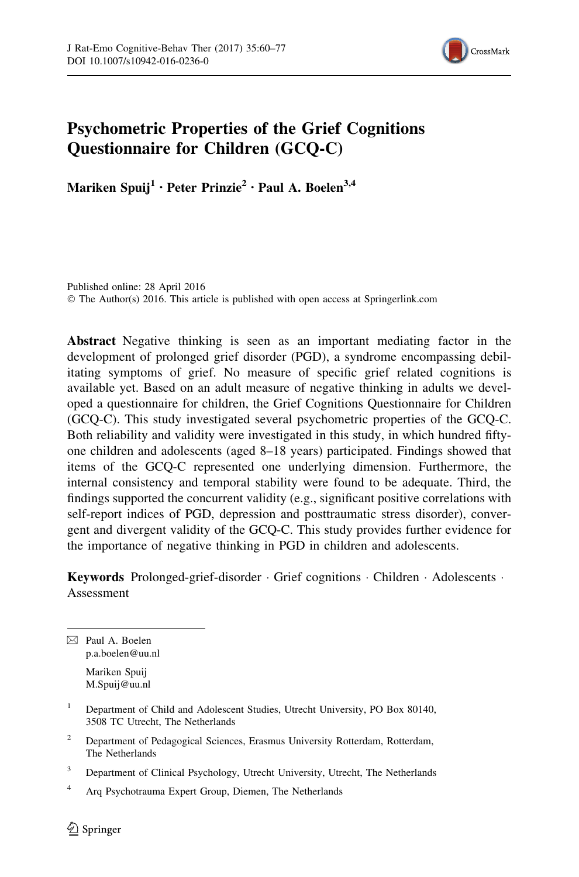

# Psychometric Properties of the Grief Cognitions Questionnaire for Children (GCQ-C)

Mariken Spuii<sup>1</sup> · Peter Prinzie<sup>2</sup> · Paul A. Boelen<sup>3,4</sup>

Published online: 28 April 2016 © The Author(s) 2016. This article is published with open access at Springerlink.com

Abstract Negative thinking is seen as an important mediating factor in the development of prolonged grief disorder (PGD), a syndrome encompassing debilitating symptoms of grief. No measure of specific grief related cognitions is available yet. Based on an adult measure of negative thinking in adults we developed a questionnaire for children, the Grief Cognitions Questionnaire for Children (GCQ-C). This study investigated several psychometric properties of the GCQ-C. Both reliability and validity were investigated in this study, in which hundred fiftyone children and adolescents (aged 8–18 years) participated. Findings showed that items of the GCQ-C represented one underlying dimension. Furthermore, the internal consistency and temporal stability were found to be adequate. Third, the findings supported the concurrent validity (e.g., significant positive correlations with self-report indices of PGD, depression and posttraumatic stress disorder), convergent and divergent validity of the GCQ-C. This study provides further evidence for the importance of negative thinking in PGD in children and adolescents.

Keywords Prolonged-grief-disorder · Grief cognitions · Children · Adolescents · Assessment

 $\boxtimes$  Paul A. Boelen p.a.boelen@uu.nl Mariken Spuij M.Spuij@uu.nl

<sup>1</sup> Department of Child and Adolescent Studies, Utrecht University, PO Box 80140, 3508 TC Utrecht, The Netherlands

- <sup>2</sup> Department of Pedagogical Sciences, Erasmus University Rotterdam, Rotterdam, The Netherlands
- <sup>3</sup> Department of Clinical Psychology, Utrecht University, Utrecht, The Netherlands
- <sup>4</sup> Arq Psychotrauma Expert Group, Diemen, The Netherlands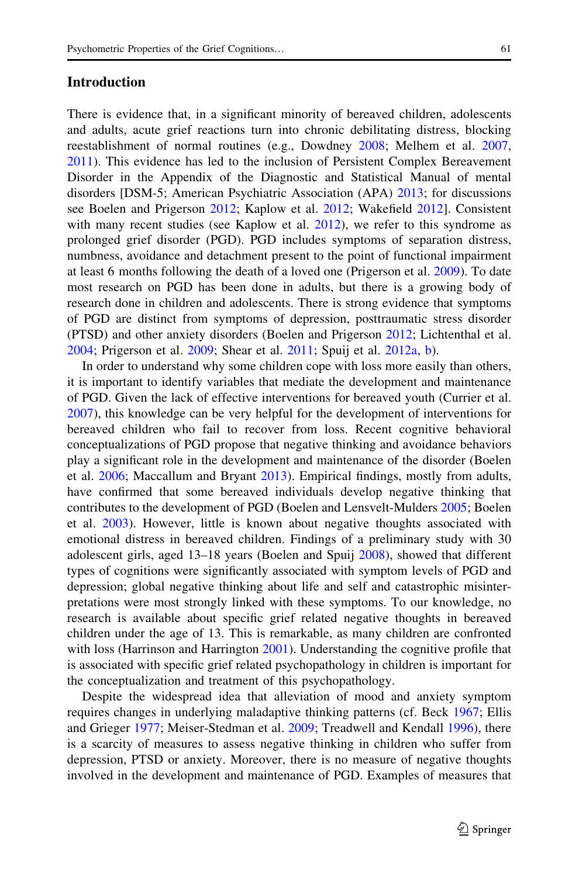## Introduction

There is evidence that, in a significant minority of bereaved children, adolescents and adults, acute grief reactions turn into chronic debilitating distress, blocking reestablishment of normal routines (e.g., Dowdney [2008](#page-15-0); Melhem et al. [2007,](#page-16-0) [2011\)](#page-16-0). This evidence has led to the inclusion of Persistent Complex Bereavement Disorder in the Appendix of the Diagnostic and Statistical Manual of mental disorders [DSM-5; American Psychiatric Association (APA) [2013;](#page-15-0) for discussions see Boelen and Prigerson [2012](#page-15-0); Kaplow et al. [2012](#page-15-0); Wakefield [2012\]](#page-17-0). Consistent with many recent studies (see Kaplow et al. [2012\)](#page-15-0), we refer to this syndrome as prolonged grief disorder (PGD). PGD includes symptoms of separation distress, numbness, avoidance and detachment present to the point of functional impairment at least 6 months following the death of a loved one (Prigerson et al. [2009](#page-16-0)). To date most research on PGD has been done in adults, but there is a growing body of research done in children and adolescents. There is strong evidence that symptoms of PGD are distinct from symptoms of depression, posttraumatic stress disorder (PTSD) and other anxiety disorders (Boelen and Prigerson [2012](#page-15-0); Lichtenthal et al. [2004;](#page-16-0) Prigerson et al. [2009](#page-16-0); Shear et al. [2011](#page-16-0); Spuij et al. [2012a,](#page-16-0) [b\)](#page-16-0).

In order to understand why some children cope with loss more easily than others, it is important to identify variables that mediate the development and maintenance of PGD. Given the lack of effective interventions for bereaved youth (Currier et al. [2007\)](#page-15-0), this knowledge can be very helpful for the development of interventions for bereaved children who fail to recover from loss. Recent cognitive behavioral conceptualizations of PGD propose that negative thinking and avoidance behaviors play a significant role in the development and maintenance of the disorder (Boelen et al. [2006;](#page-15-0) Maccallum and Bryant [2013](#page-16-0)). Empirical findings, mostly from adults, have confirmed that some bereaved individuals develop negative thinking that contributes to the development of PGD (Boelen and Lensvelt-Mulders [2005;](#page-15-0) Boelen et al. [2003\)](#page-15-0). However, little is known about negative thoughts associated with emotional distress in bereaved children. Findings of a preliminary study with 30 adolescent girls, aged 13–18 years (Boelen and Spuij [2008](#page-15-0)), showed that different types of cognitions were significantly associated with symptom levels of PGD and depression; global negative thinking about life and self and catastrophic misinterpretations were most strongly linked with these symptoms. To our knowledge, no research is available about specific grief related negative thoughts in bereaved children under the age of 13. This is remarkable, as many children are confronted with loss (Harrinson and Harrington [2001](#page-15-0)). Understanding the cognitive profile that is associated with specific grief related psychopathology in children is important for the conceptualization and treatment of this psychopathology.

Despite the widespread idea that alleviation of mood and anxiety symptom requires changes in underlying maladaptive thinking patterns (cf. Beck [1967;](#page-15-0) Ellis and Grieger [1977;](#page-15-0) Meiser-Stedman et al. [2009;](#page-16-0) Treadwell and Kendall [1996\)](#page-17-0), there is a scarcity of measures to assess negative thinking in children who suffer from depression, PTSD or anxiety. Moreover, there is no measure of negative thoughts involved in the development and maintenance of PGD. Examples of measures that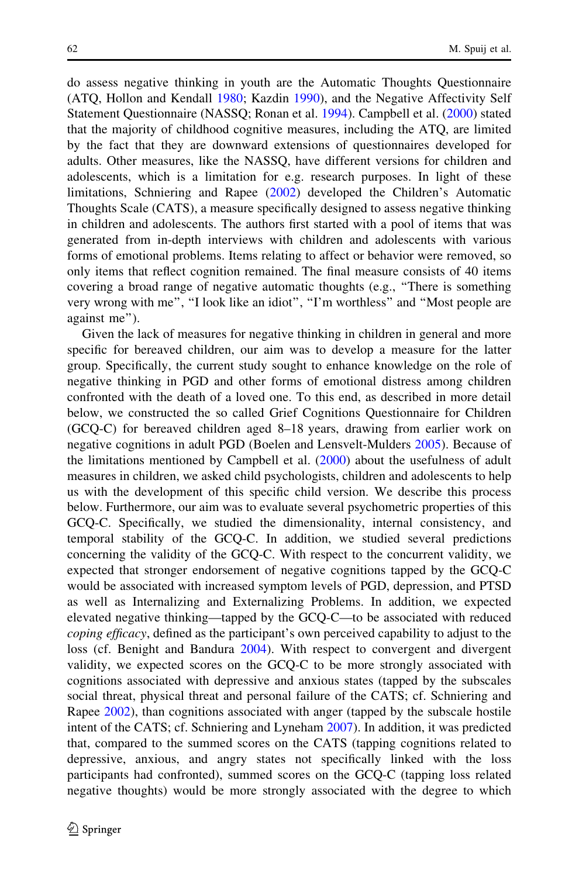do assess negative thinking in youth are the Automatic Thoughts Questionnaire (ATQ, Hollon and Kendall [1980;](#page-15-0) Kazdin [1990\)](#page-16-0), and the Negative Affectivity Self Statement Questionnaire (NASSQ; Ronan et al. [1994](#page-16-0)). Campbell et al. [\(2000](#page-15-0)) stated that the majority of childhood cognitive measures, including the ATQ, are limited by the fact that they are downward extensions of questionnaires developed for adults. Other measures, like the NASSQ, have different versions for children and adolescents, which is a limitation for e.g. research purposes. In light of these limitations, Schniering and Rapee ([2002\)](#page-16-0) developed the Children's Automatic Thoughts Scale (CATS), a measure specifically designed to assess negative thinking in children and adolescents. The authors first started with a pool of items that was generated from in-depth interviews with children and adolescents with various forms of emotional problems. Items relating to affect or behavior were removed, so only items that reflect cognition remained. The final measure consists of 40 items covering a broad range of negative automatic thoughts (e.g., ''There is something very wrong with me", "I look like an idiot", "I'm worthless" and "Most people are against me'').

Given the lack of measures for negative thinking in children in general and more specific for bereaved children, our aim was to develop a measure for the latter group. Specifically, the current study sought to enhance knowledge on the role of negative thinking in PGD and other forms of emotional distress among children confronted with the death of a loved one. To this end, as described in more detail below, we constructed the so called Grief Cognitions Questionnaire for Children (GCQ-C) for bereaved children aged 8–18 years, drawing from earlier work on negative cognitions in adult PGD (Boelen and Lensvelt-Mulders [2005](#page-15-0)). Because of the limitations mentioned by Campbell et al. ([2000\)](#page-15-0) about the usefulness of adult measures in children, we asked child psychologists, children and adolescents to help us with the development of this specific child version. We describe this process below. Furthermore, our aim was to evaluate several psychometric properties of this GCQ-C. Specifically, we studied the dimensionality, internal consistency, and temporal stability of the GCQ-C. In addition, we studied several predictions concerning the validity of the GCQ-C. With respect to the concurrent validity, we expected that stronger endorsement of negative cognitions tapped by the GCQ-C would be associated with increased symptom levels of PGD, depression, and PTSD as well as Internalizing and Externalizing Problems. In addition, we expected elevated negative thinking—tapped by the GCQ-C—to be associated with reduced coping efficacy, defined as the participant's own perceived capability to adjust to the loss (cf. Benight and Bandura [2004\)](#page-15-0). With respect to convergent and divergent validity, we expected scores on the GCQ-C to be more strongly associated with cognitions associated with depressive and anxious states (tapped by the subscales social threat, physical threat and personal failure of the CATS; cf. Schniering and Rapee [2002](#page-16-0)), than cognitions associated with anger (tapped by the subscale hostile intent of the CATS; cf. Schniering and Lyneham [2007](#page-16-0)). In addition, it was predicted that, compared to the summed scores on the CATS (tapping cognitions related to depressive, anxious, and angry states not specifically linked with the loss participants had confronted), summed scores on the GCQ-C (tapping loss related negative thoughts) would be more strongly associated with the degree to which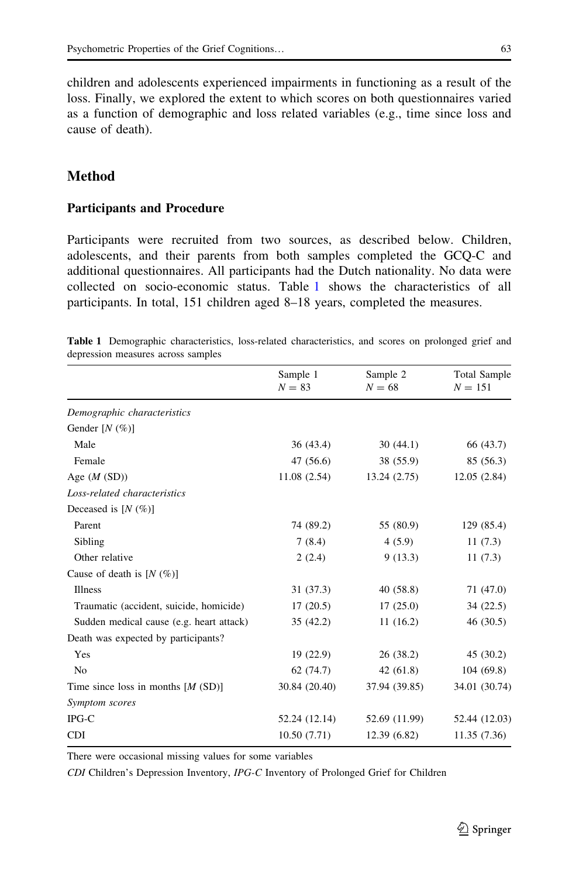<span id="page-3-0"></span>children and adolescents experienced impairments in functioning as a result of the loss. Finally, we explored the extent to which scores on both questionnaires varied as a function of demographic and loss related variables (e.g., time since loss and cause of death).

# **Method**

## Participants and Procedure

Participants were recruited from two sources, as described below. Children, adolescents, and their parents from both samples completed the GCQ-C and additional questionnaires. All participants had the Dutch nationality. No data were collected on socio-economic status. Table 1 shows the characteristics of all participants. In total, 151 children aged 8–18 years, completed the measures.

| $\alpha$ contains the asset of $\alpha$ across samples |                      |                      |                                  |  |
|--------------------------------------------------------|----------------------|----------------------|----------------------------------|--|
|                                                        | Sample 1<br>$N = 83$ | Sample 2<br>$N = 68$ | <b>Total Sample</b><br>$N = 151$ |  |
| Demographic characteristics                            |                      |                      |                                  |  |
| Gender $[N(\%)]$                                       |                      |                      |                                  |  |
| Male                                                   | 36 (43.4)            | 30(44.1)             | 66 (43.7)                        |  |
| Female                                                 | 47 (56.6)            | 38 (55.9)            | 85 (56.3)                        |  |
| Age $(M(SD))$                                          | 11.08(2.54)          | 13.24(2.75)          | 12.05(2.84)                      |  |
| Loss-related characteristics                           |                      |                      |                                  |  |
| Deceased is $[N(\%)]$                                  |                      |                      |                                  |  |
| Parent                                                 | 74 (89.2)            | 55 (80.9)            | 129 (85.4)                       |  |
| Sibling                                                | 7(8.4)               | 4(5.9)               | 11(7.3)                          |  |
| Other relative                                         | 2(2.4)               | 9(13.3)              | 11(7.3)                          |  |
| Cause of death is $[N (\%)]$                           |                      |                      |                                  |  |
| Illness                                                | 31 (37.3)            | 40(58.8)             | 71 (47.0)                        |  |
| Traumatic (accident, suicide, homicide)                | 17(20.5)             | 17(25.0)             | 34(22.5)                         |  |
| Sudden medical cause (e.g. heart attack)               | 35 (42.2)            | 11(16.2)             | 46(30.5)                         |  |
| Death was expected by participants?                    |                      |                      |                                  |  |
| Yes                                                    | 19(22.9)             | 26(38.2)             | 45(30.2)                         |  |
| N <sub>0</sub>                                         | 62(74.7)             | 42(61.8)             | 104(69.8)                        |  |
| Time since loss in months $[M (SD)]$                   | 30.84 (20.40)        | 37.94 (39.85)        | 34.01 (30.74)                    |  |
| Symptom scores                                         |                      |                      |                                  |  |
| $IPG-C$                                                | 52.24 (12.14)        | 52.69 (11.99)        | 52.44 (12.03)                    |  |
| <b>CDI</b>                                             | 10.50(7.71)          | 12.39 (6.82)         | 11.35(7.36)                      |  |

Table 1 Demographic characteristics, loss-related characteristics, and scores on prolonged grief and depression measures across samples

There were occasional missing values for some variables

CDI Children's Depression Inventory, IPG-C Inventory of Prolonged Grief for Children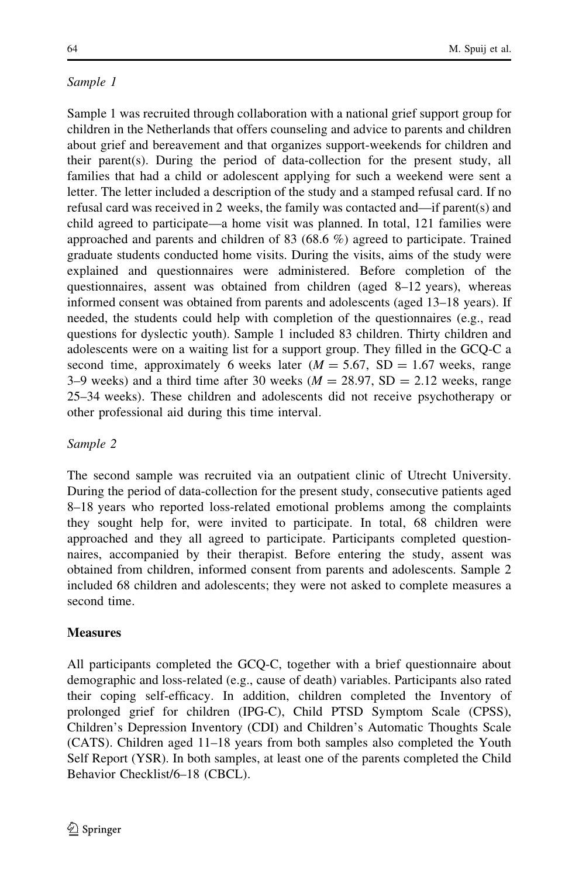# Sample 1

Sample 1 was recruited through collaboration with a national grief support group for children in the Netherlands that offers counseling and advice to parents and children about grief and bereavement and that organizes support-weekends for children and their parent(s). During the period of data-collection for the present study, all families that had a child or adolescent applying for such a weekend were sent a letter. The letter included a description of the study and a stamped refusal card. If no refusal card was received in 2 weeks, the family was contacted and—if parent(s) and child agreed to participate—a home visit was planned. In total, 121 families were approached and parents and children of 83 (68.6 %) agreed to participate. Trained graduate students conducted home visits. During the visits, aims of the study were explained and questionnaires were administered. Before completion of the questionnaires, assent was obtained from children (aged 8–12 years), whereas informed consent was obtained from parents and adolescents (aged 13–18 years). If needed, the students could help with completion of the questionnaires (e.g., read questions for dyslectic youth). Sample 1 included 83 children. Thirty children and adolescents were on a waiting list for a support group. They filled in the GCQ-C a second time, approximately 6 weeks later ( $M = 5.67$ , SD = 1.67 weeks, range 3–9 weeks) and a third time after 30 weeks ( $M = 28.97$ , SD = 2.12 weeks, range 25–34 weeks). These children and adolescents did not receive psychotherapy or other professional aid during this time interval.

# Sample 2

The second sample was recruited via an outpatient clinic of Utrecht University. During the period of data-collection for the present study, consecutive patients aged 8–18 years who reported loss-related emotional problems among the complaints they sought help for, were invited to participate. In total, 68 children were approached and they all agreed to participate. Participants completed questionnaires, accompanied by their therapist. Before entering the study, assent was obtained from children, informed consent from parents and adolescents. Sample 2 included 68 children and adolescents; they were not asked to complete measures a second time.

# **Measures**

All participants completed the GCQ-C, together with a brief questionnaire about demographic and loss-related (e.g., cause of death) variables. Participants also rated their coping self-efficacy. In addition, children completed the Inventory of prolonged grief for children (IPG-C), Child PTSD Symptom Scale (CPSS), Children's Depression Inventory (CDI) and Children's Automatic Thoughts Scale (CATS). Children aged 11–18 years from both samples also completed the Youth Self Report (YSR). In both samples, at least one of the parents completed the Child Behavior Checklist/6–18 (CBCL).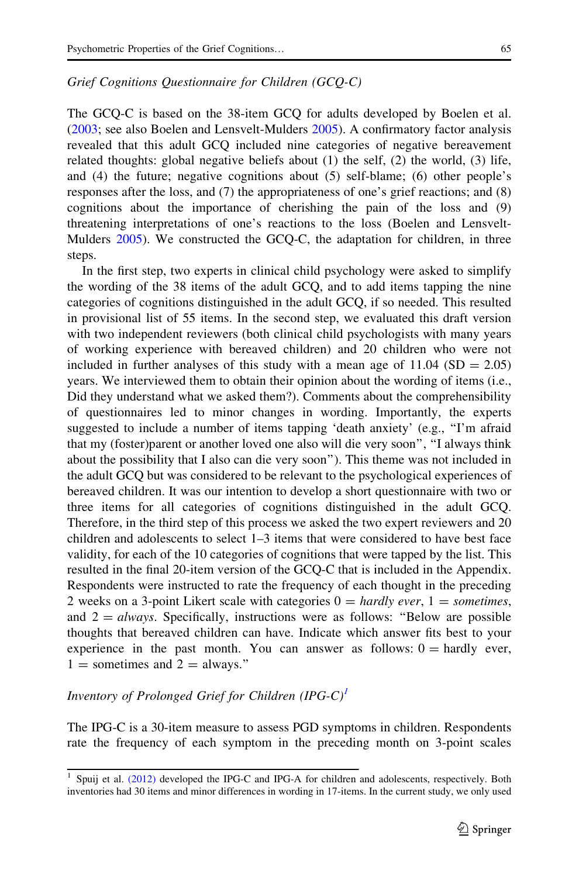### Grief Cognitions Questionnaire for Children (GCQ-C)

The GCQ-C is based on the 38-item GCQ for adults developed by Boelen et al. [\(2003](#page-15-0); see also Boelen and Lensvelt-Mulders [2005\)](#page-15-0). A confirmatory factor analysis revealed that this adult GCQ included nine categories of negative bereavement related thoughts: global negative beliefs about (1) the self, (2) the world, (3) life, and (4) the future; negative cognitions about (5) self-blame; (6) other people's responses after the loss, and (7) the appropriateness of one's grief reactions; and (8) cognitions about the importance of cherishing the pain of the loss and (9) threatening interpretations of one's reactions to the loss (Boelen and Lensvelt-Mulders [2005](#page-15-0)). We constructed the GCQ-C, the adaptation for children, in three steps.

In the first step, two experts in clinical child psychology were asked to simplify the wording of the 38 items of the adult GCQ, and to add items tapping the nine categories of cognitions distinguished in the adult GCQ, if so needed. This resulted in provisional list of 55 items. In the second step, we evaluated this draft version with two independent reviewers (both clinical child psychologists with many years of working experience with bereaved children) and 20 children who were not included in further analyses of this study with a mean age of  $11.04$  (SD = 2.05) years. We interviewed them to obtain their opinion about the wording of items (i.e., Did they understand what we asked them?). Comments about the comprehensibility of questionnaires led to minor changes in wording. Importantly, the experts suggested to include a number of items tapping 'death anxiety' (e.g., ''I'm afraid that my (foster)parent or another loved one also will die very soon'', ''I always think about the possibility that I also can die very soon''). This theme was not included in the adult GCQ but was considered to be relevant to the psychological experiences of bereaved children. It was our intention to develop a short questionnaire with two or three items for all categories of cognitions distinguished in the adult GCQ. Therefore, in the third step of this process we asked the two expert reviewers and 20 children and adolescents to select 1–3 items that were considered to have best face validity, for each of the 10 categories of cognitions that were tapped by the list. This resulted in the final 20-item version of the GCQ-C that is included in the Appendix. Respondents were instructed to rate the frequency of each thought in the preceding 2 weeks on a 3-point Likert scale with categories  $0 = \frac{hardly}{\text{e}}$  ever,  $1 = \text{sometimes}$ , and  $2 = always$ . Specifically, instructions were as follows: "Below are possible thoughts that bereaved children can have. Indicate which answer fits best to your experience in the past month. You can answer as follows:  $0 =$  hardly ever,  $1 =$  sometimes and  $2 =$  always."

# Inventory of Prolonged Grief for Children  $(IPG-C)^T$

The IPG-C is a 30-item measure to assess PGD symptoms in children. Respondents rate the frequency of each symptom in the preceding month on 3-point scales

Spuij et al. [\(2012\)](#page-16-0) developed the IPG-C and IPG-A for children and adolescents, respectively. Both inventories had 30 items and minor differences in wording in 17-items. In the current study, we only used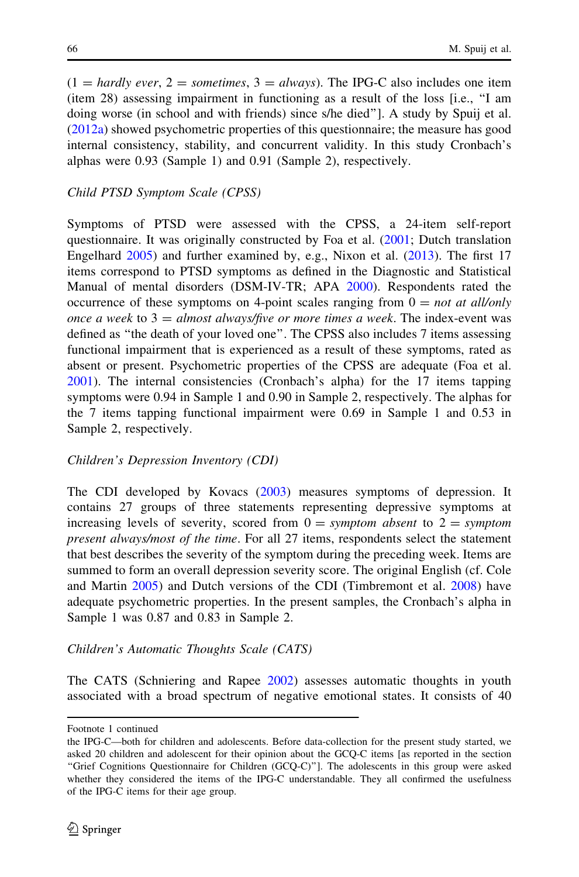$(1 = \text{hardly ever}, 2 = \text{sometimes}, 3 = \text{always})$ . The IPG-C also includes one item  $(i$ tem 28) assessing impairment in functioning as a result of the loss [i.e.,  $\lq$ ] am doing worse (in school and with friends) since s/he died'']. A study by Spuij et al. [\(2012a\)](#page-16-0) showed psychometric properties of this questionnaire; the measure has good internal consistency, stability, and concurrent validity. In this study Cronbach's alphas were 0.93 (Sample 1) and 0.91 (Sample 2), respectively.

# Child PTSD Symptom Scale (CPSS)

Symptoms of PTSD were assessed with the CPSS, a 24-item self-report questionnaire. It was originally constructed by Foa et al. ([2001;](#page-15-0) Dutch translation Engelhard [2005](#page-15-0)) and further examined by, e.g., Nixon et al. ([2013\)](#page-16-0). The first 17 items correspond to PTSD symptoms as defined in the Diagnostic and Statistical Manual of mental disorders (DSM-IV-TR; APA [2000](#page-15-0)). Respondents rated the occurrence of these symptoms on 4-point scales ranging from  $0 = not$  at all/only once a week to  $3 =$  almost always/five or more times a week. The index-event was defined as ''the death of your loved one''. The CPSS also includes 7 items assessing functional impairment that is experienced as a result of these symptoms, rated as absent or present. Psychometric properties of the CPSS are adequate (Foa et al. [2001\)](#page-15-0). The internal consistencies (Cronbach's alpha) for the 17 items tapping symptoms were 0.94 in Sample 1 and 0.90 in Sample 2, respectively. The alphas for the 7 items tapping functional impairment were 0.69 in Sample 1 and 0.53 in Sample 2, respectively.

# Children's Depression Inventory (CDI)

The CDI developed by Kovacs ([2003\)](#page-16-0) measures symptoms of depression. It contains 27 groups of three statements representing depressive symptoms at increasing levels of severity, scored from  $0 =$  symptom absent to  $2 =$  symptom present always/most of the time. For all 27 items, respondents select the statement that best describes the severity of the symptom during the preceding week. Items are summed to form an overall depression severity score. The original English (cf. Cole and Martin [2005](#page-15-0)) and Dutch versions of the CDI (Timbremont et al. [2008](#page-17-0)) have adequate psychometric properties. In the present samples, the Cronbach's alpha in Sample 1 was 0.87 and 0.83 in Sample 2.

# Children's Automatic Thoughts Scale (CATS)

The CATS (Schniering and Rapee [2002](#page-16-0)) assesses automatic thoughts in youth associated with a broad spectrum of negative emotional states. It consists of 40

Footnote 1 continued

the IPG-C—both for children and adolescents. Before data-collection for the present study started, we asked 20 children and adolescent for their opinion about the GCQ-C items [as reported in the section ''Grief Cognitions Questionnaire for Children (GCQ-C)'']. The adolescents in this group were asked whether they considered the items of the IPG-C understandable. They all confirmed the usefulness of the IPG-C items for their age group.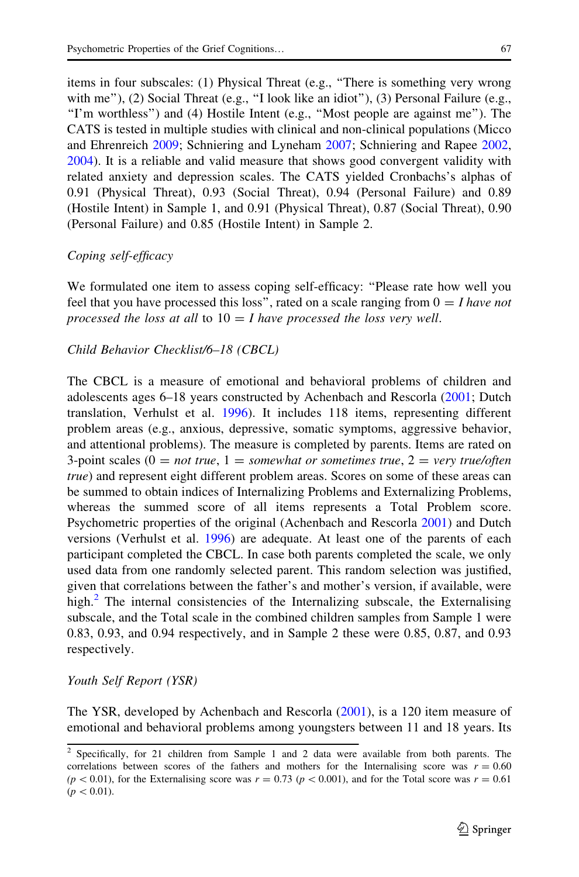items in four subscales: (1) Physical Threat (e.g., ''There is something very wrong with me"), (2) Social Threat (e.g., "I look like an idiot"), (3) Personal Failure (e.g., ''I'm worthless'') and (4) Hostile Intent (e.g., ''Most people are against me''). The CATS is tested in multiple studies with clinical and non-clinical populations (Micco and Ehrenreich [2009;](#page-16-0) Schniering and Lyneham [2007](#page-16-0); Schniering and Rapee [2002,](#page-16-0) [2004\)](#page-16-0). It is a reliable and valid measure that shows good convergent validity with related anxiety and depression scales. The CATS yielded Cronbachs's alphas of 0.91 (Physical Threat), 0.93 (Social Threat), 0.94 (Personal Failure) and 0.89 (Hostile Intent) in Sample 1, and 0.91 (Physical Threat), 0.87 (Social Threat), 0.90 (Personal Failure) and 0.85 (Hostile Intent) in Sample 2.

## Coping self-efficacy

We formulated one item to assess coping self-efficacy: ''Please rate how well you feel that you have processed this loss", rated on a scale ranging from  $0 = I$  have not processed the loss at all to  $10 = I$  have processed the loss very well.

## Child Behavior Checklist/6–18 (CBCL)

The CBCL is a measure of emotional and behavioral problems of children and adolescents ages 6–18 years constructed by Achenbach and Rescorla [\(2001](#page-15-0); Dutch translation, Verhulst et al. [1996](#page-17-0)). It includes 118 items, representing different problem areas (e.g., anxious, depressive, somatic symptoms, aggressive behavior, and attentional problems). The measure is completed by parents. Items are rated on 3-point scales ( $0 = not true$ ,  $1 = somewhat or sometimes true$ ,  $2 = very true/often$ true) and represent eight different problem areas. Scores on some of these areas can be summed to obtain indices of Internalizing Problems and Externalizing Problems, whereas the summed score of all items represents a Total Problem score. Psychometric properties of the original (Achenbach and Rescorla [2001\)](#page-15-0) and Dutch versions (Verhulst et al. [1996](#page-17-0)) are adequate. At least one of the parents of each participant completed the CBCL. In case both parents completed the scale, we only used data from one randomly selected parent. This random selection was justified, given that correlations between the father's and mother's version, if available, were high.<sup>2</sup> The internal consistencies of the Internalizing subscale, the Externalising subscale, and the Total scale in the combined children samples from Sample 1 were 0.83, 0.93, and 0.94 respectively, and in Sample 2 these were 0.85, 0.87, and 0.93 respectively.

Youth Self Report (YSR)

The YSR, developed by Achenbach and Rescorla ([2001\)](#page-15-0), is a 120 item measure of emotional and behavioral problems among youngsters between 11 and 18 years. Its

<sup>2</sup> Specifically, for 21 children from Sample 1 and 2 data were available from both parents. The correlations between scores of the fathers and mothers for the Internalising score was  $r = 0.60$  $(p<0.01)$ , for the Externalising score was  $r = 0.73$  ( $p<0.001$ ), and for the Total score was  $r = 0.61$  $(p<0.01)$ .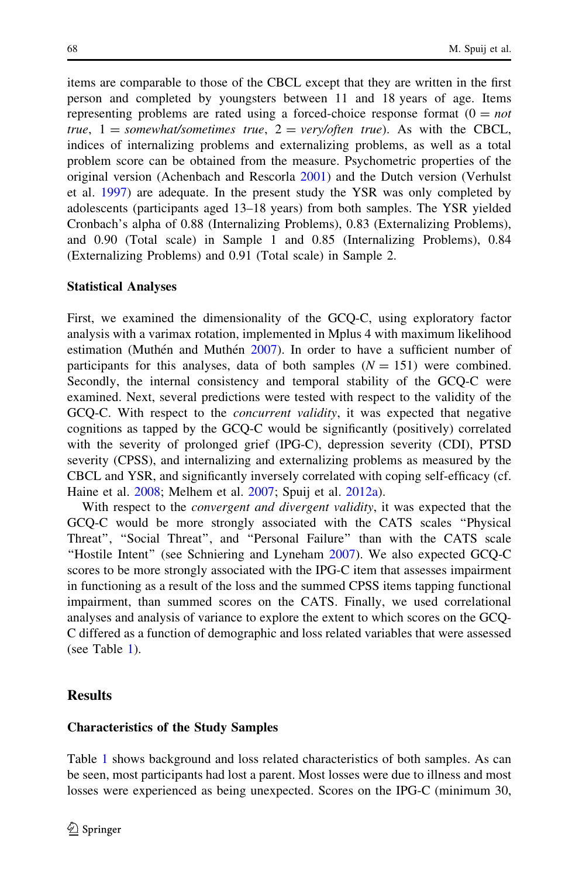items are comparable to those of the CBCL except that they are written in the first person and completed by youngsters between 11 and 18 years of age. Items representing problems are rated using a forced-choice response format  $(0 = not$ true,  $1 =$  somewhat/sometimes true,  $2 =$  very/often true). As with the CBCL, indices of internalizing problems and externalizing problems, as well as a total problem score can be obtained from the measure. Psychometric properties of the original version (Achenbach and Rescorla [2001](#page-15-0)) and the Dutch version (Verhulst et al. [1997](#page-17-0)) are adequate. In the present study the YSR was only completed by adolescents (participants aged 13–18 years) from both samples. The YSR yielded Cronbach's alpha of 0.88 (Internalizing Problems), 0.83 (Externalizing Problems), and 0.90 (Total scale) in Sample 1 and 0.85 (Internalizing Problems), 0.84 (Externalizing Problems) and 0.91 (Total scale) in Sample 2.

### Statistical Analyses

First, we examined the dimensionality of the GCQ-C, using exploratory factor analysis with a varimax rotation, implemented in Mplus 4 with maximum likelihood estimation (Muthén and Muthén  $2007$ ). In order to have a sufficient number of participants for this analyses, data of both samples  $(N = 151)$  were combined. Secondly, the internal consistency and temporal stability of the GCQ-C were examined. Next, several predictions were tested with respect to the validity of the GCQ-C. With respect to the *concurrent validity*, it was expected that negative cognitions as tapped by the GCQ-C would be significantly (positively) correlated with the severity of prolonged grief (IPG-C), depression severity (CDI), PTSD severity (CPSS), and internalizing and externalizing problems as measured by the CBCL and YSR, and significantly inversely correlated with coping self-efficacy (cf. Haine et al. [2008;](#page-15-0) Melhem et al. [2007](#page-16-0); Spuij et al. [2012a](#page-16-0)).

With respect to the *convergent and divergent validity*, it was expected that the GCQ-C would be more strongly associated with the CATS scales ''Physical Threat", "Social Threat", and "Personal Failure" than with the CATS scale ''Hostile Intent'' (see Schniering and Lyneham [2007\)](#page-16-0). We also expected GCQ-C scores to be more strongly associated with the IPG-C item that assesses impairment in functioning as a result of the loss and the summed CPSS items tapping functional impairment, than summed scores on the CATS. Finally, we used correlational analyses and analysis of variance to explore the extent to which scores on the GCQ-C differed as a function of demographic and loss related variables that were assessed (see Table [1\)](#page-3-0).

## **Results**

# Characteristics of the Study Samples

Table [1](#page-3-0) shows background and loss related characteristics of both samples. As can be seen, most participants had lost a parent. Most losses were due to illness and most losses were experienced as being unexpected. Scores on the IPG-C (minimum 30,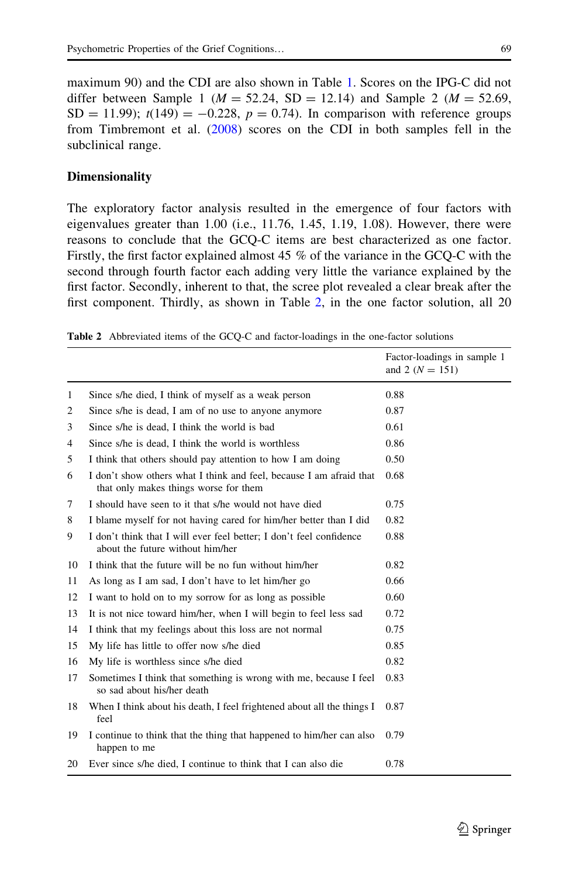maximum 90) and the CDI are also shown in Table [1](#page-3-0). Scores on the IPG-C did not differ between Sample 1 ( $M = 52.24$ , SD = 12.14) and Sample 2 ( $M = 52.69$ ,  $SD = 11.99$ ;  $t(149) = -0.228$ ,  $p = 0.74$ ). In comparison with reference groups from Timbremont et al. [\(2008](#page-17-0)) scores on the CDI in both samples fell in the subclinical range.

### Dimensionality

The exploratory factor analysis resulted in the emergence of four factors with eigenvalues greater than 1.00 (i.e., 11.76, 1.45, 1.19, 1.08). However, there were reasons to conclude that the GCQ-C items are best characterized as one factor. Firstly, the first factor explained almost 45 % of the variance in the GCQ-C with the second through fourth factor each adding very little the variance explained by the first factor. Secondly, inherent to that, the scree plot revealed a clear break after the first component. Thirdly, as shown in Table 2, in the one factor solution, all 20

Table 2 Abbreviated items of the GCO-C and factor-loadings in the one-factor solutions

|                |                                                                                                              | Factor-loadings in sample 1<br>and 2 ( $N = 151$ ) |
|----------------|--------------------------------------------------------------------------------------------------------------|----------------------------------------------------|
| 1              | Since s/he died, I think of myself as a weak person                                                          | 0.88                                               |
| $\overline{2}$ | Since s/he is dead, I am of no use to anyone anymore                                                         | 0.87                                               |
| 3              | Since s/he is dead, I think the world is bad                                                                 | 0.61                                               |
| 4              | Since s/he is dead, I think the world is worthless                                                           | 0.86                                               |
| 5              | I think that others should pay attention to how I am doing                                                   | 0.50                                               |
| 6              | I don't show others what I think and feel, because I am afraid that<br>that only makes things worse for them | 0.68                                               |
| 7              | I should have seen to it that s/he would not have died                                                       | 0.75                                               |
| 8              | I blame myself for not having cared for him/her better than I did                                            | 0.82                                               |
| 9              | I don't think that I will ever feel better; I don't feel confidence<br>about the future without him/her      | 0.88                                               |
| 10             | I think that the future will be no fun without him/her                                                       | 0.82                                               |
| 11             | As long as I am sad, I don't have to let him/her go                                                          | 0.66                                               |
| 12             | I want to hold on to my sorrow for as long as possible                                                       | 0.60                                               |
| 13             | It is not nice toward him/her, when I will begin to feel less sad                                            | 0.72                                               |
| 14             | I think that my feelings about this loss are not normal                                                      | 0.75                                               |
| 15             | My life has little to offer now s/he died                                                                    | 0.85                                               |
| 16             | My life is worthless since s/he died                                                                         | 0.82                                               |
| 17             | Sometimes I think that something is wrong with me, because I feel<br>so sad about his/her death              | 0.83                                               |
| 18             | When I think about his death, I feel frightened about all the things I<br>feel                               | 0.87                                               |
| 19             | I continue to think that the thing that happened to him/her can also<br>happen to me                         | 0.79                                               |
| 20             | Ever since s/he died, I continue to think that I can also die                                                | 0.78                                               |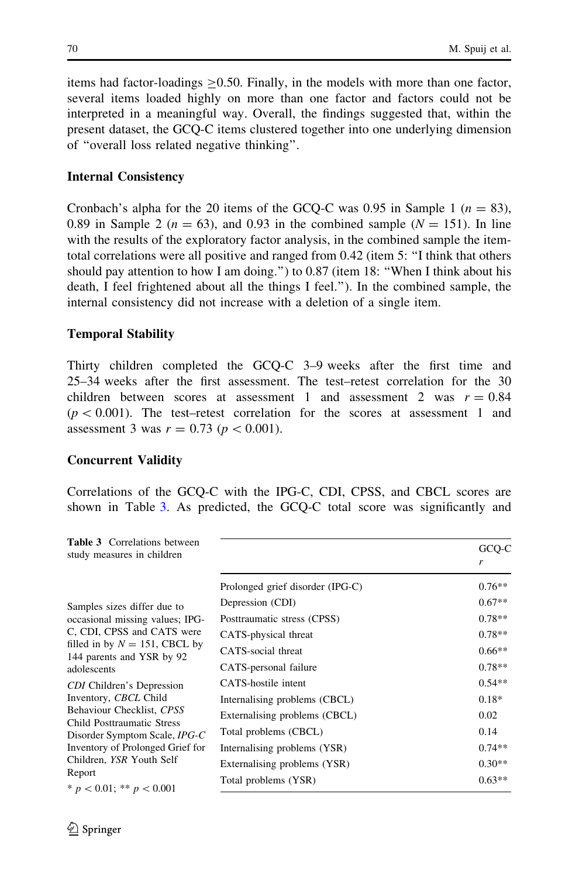<span id="page-10-0"></span>items had factor-loadings  $\geq$  0.50. Finally, in the models with more than one factor, several items loaded highly on more than one factor and factors could not be interpreted in a meaningful way. Overall, the findings suggested that, within the present dataset, the GCQ-C items clustered together into one underlying dimension of ''overall loss related negative thinking''.

## Internal Consistency

Cronbach's alpha for the 20 items of the GCQ-C was 0.95 in Sample 1 ( $n = 83$ ), 0.89 in Sample 2 ( $n = 63$ ), and 0.93 in the combined sample ( $N = 151$ ). In line with the results of the exploratory factor analysis, in the combined sample the itemtotal correlations were all positive and ranged from 0.42 (item 5: ''I think that others should pay attention to how I am doing.'') to 0.87 (item 18: ''When I think about his death, I feel frightened about all the things I feel.''). In the combined sample, the internal consistency did not increase with a deletion of a single item.

## Temporal Stability

Thirty children completed the GCQ-C 3–9 weeks after the first time and 25–34 weeks after the first assessment. The test–retest correlation for the 30 children between scores at assessment 1 and assessment 2 was  $r = 0.84$  $(p<0.001)$ . The test–retest correlation for the scores at assessment 1 and assessment 3 was  $r = 0.73$  ( $p < 0.001$ ).

# Concurrent Validity

Correlations of the GCQ-C with the IPG-C, CDI, CPSS, and CBCL scores are shown in Table 3. As predicted, the GCQ-C total score was significantly and

| <b>Table 3</b> Correlations between<br>study measures in children                                                                                                                                                                                                                                                              |                                                                                                                                                                                                                                                                              | GCQ-C<br>r                                                                                                              |
|--------------------------------------------------------------------------------------------------------------------------------------------------------------------------------------------------------------------------------------------------------------------------------------------------------------------------------|------------------------------------------------------------------------------------------------------------------------------------------------------------------------------------------------------------------------------------------------------------------------------|-------------------------------------------------------------------------------------------------------------------------|
| Samples sizes differ due to<br>occasional missing values; IPG-<br>C, CDI, CPSS and CATS were<br>filled in by $N = 151$ , CBCL by<br>144 parents and YSR by 92<br>adolescents<br>CDI Children's Depression<br>Inventory, CBCL Child<br>Behaviour Checklist, CPSS<br>Child Posttraumatic Stress<br>Disorder Symptom Scale, IPG-C | Prolonged grief disorder (IPG-C)<br>Depression (CDI)<br>Posttraumatic stress (CPSS)<br>CATS-physical threat<br>CATS-social threat<br>CATS-personal failure<br>CATS-hostile intent<br>Internalising problems (CBCL)<br>Externalising problems (CBCL)<br>Total problems (CBCL) | $0.76**$<br>$0.67**$<br>$0.78**$<br>$0.78**$<br>$0.66**$<br>$0.78**$<br>$0.54**$<br>$0.18*$<br>0.02<br>0.14<br>$0.74**$ |
| Inventory of Prolonged Grief for<br>Children, YSR Youth Self<br>Report<br>* $p < 0.01$ ; ** $p < 0.001$                                                                                                                                                                                                                        | Internalising problems (YSR)<br>Externalising problems (YSR)<br>Total problems (YSR)                                                                                                                                                                                         | $0.30**$<br>$0.63**$                                                                                                    |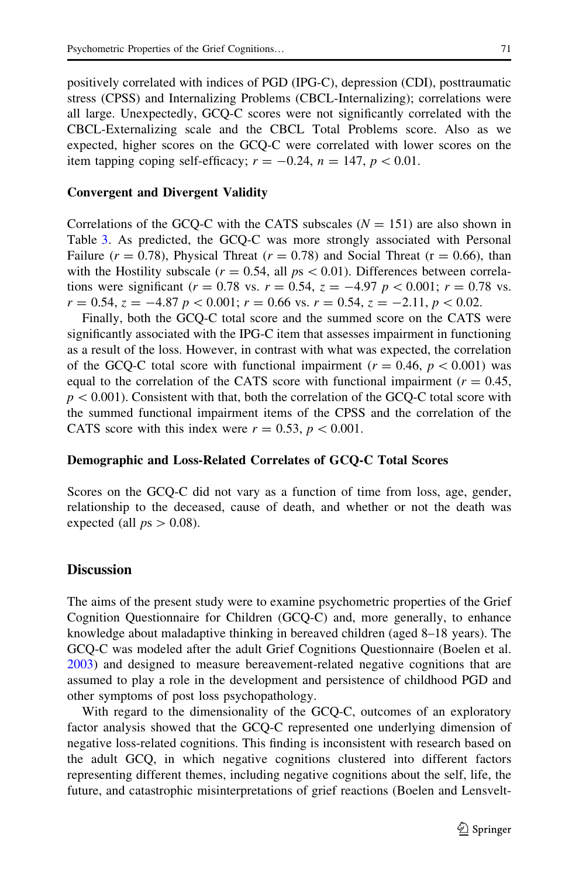positively correlated with indices of PGD (IPG-C), depression (CDI), posttraumatic stress (CPSS) and Internalizing Problems (CBCL-Internalizing); correlations were all large. Unexpectedly, GCQ-C scores were not significantly correlated with the CBCL-Externalizing scale and the CBCL Total Problems score. Also as we expected, higher scores on the GCQ-C were correlated with lower scores on the item tapping coping self-efficacy;  $r = -0.24$ ,  $n = 147$ ,  $p < 0.01$ .

#### Convergent and Divergent Validity

Correlations of the GCQ-C with the CATS subscales  $(N = 151)$  are also shown in Table [3](#page-10-0). As predicted, the GCQ-C was more strongly associated with Personal Failure ( $r = 0.78$ ), Physical Threat ( $r = 0.78$ ) and Social Threat ( $r = 0.66$ ), than with the Hostility subscale ( $r = 0.54$ , all  $ps < 0.01$ ). Differences between correlations were significant ( $r = 0.78$  vs.  $r = 0.54$ ,  $z = -4.97$  p $\lt 0.001$ ;  $r = 0.78$  vs.  $r = 0.54$ ,  $z = -4.87$   $p < 0.001$ ;  $r = 0.66$  vs.  $r = 0.54$ ,  $z = -2.11$ ,  $p < 0.02$ .

Finally, both the GCQ-C total score and the summed score on the CATS were significantly associated with the IPG-C item that assesses impairment in functioning as a result of the loss. However, in contrast with what was expected, the correlation of the GCQ-C total score with functional impairment ( $r = 0.46$ ,  $p < 0.001$ ) was equal to the correlation of the CATS score with functional impairment ( $r = 0.45$ ,  $p<0.001$ ). Consistent with that, both the correlation of the GCQ-C total score with the summed functional impairment items of the CPSS and the correlation of the CATS score with this index were  $r = 0.53$ ,  $p < 0.001$ .

#### Demographic and Loss-Related Correlates of GCQ-C Total Scores

Scores on the GCQ-C did not vary as a function of time from loss, age, gender, relationship to the deceased, cause of death, and whether or not the death was expected (all  $ps > 0.08$ ).

## **Discussion**

The aims of the present study were to examine psychometric properties of the Grief Cognition Questionnaire for Children (GCQ-C) and, more generally, to enhance knowledge about maladaptive thinking in bereaved children (aged 8–18 years). The GCQ-C was modeled after the adult Grief Cognitions Questionnaire (Boelen et al. [2003\)](#page-15-0) and designed to measure bereavement-related negative cognitions that are assumed to play a role in the development and persistence of childhood PGD and other symptoms of post loss psychopathology.

With regard to the dimensionality of the GCQ-C, outcomes of an exploratory factor analysis showed that the GCQ-C represented one underlying dimension of negative loss-related cognitions. This finding is inconsistent with research based on the adult GCQ, in which negative cognitions clustered into different factors representing different themes, including negative cognitions about the self, life, the future, and catastrophic misinterpretations of grief reactions (Boelen and Lensvelt-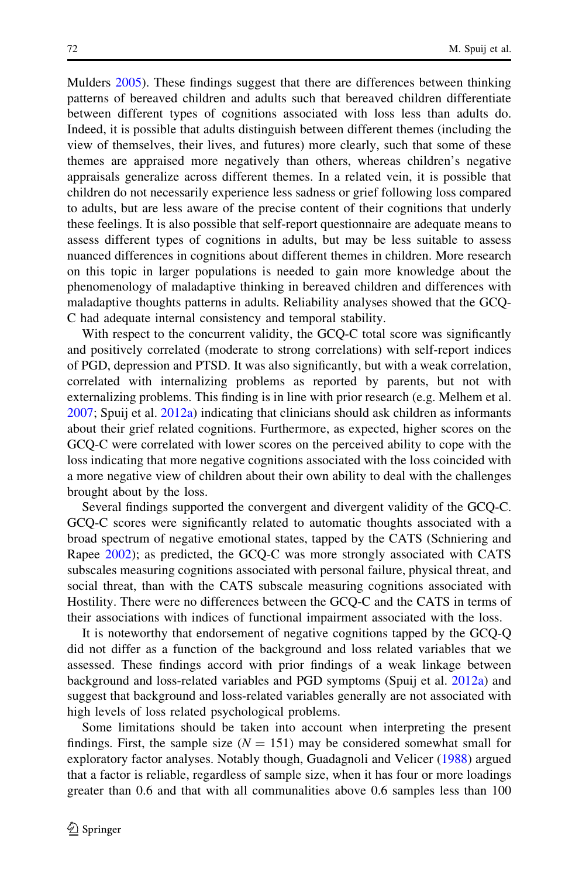Mulders [2005\)](#page-15-0). These findings suggest that there are differences between thinking patterns of bereaved children and adults such that bereaved children differentiate between different types of cognitions associated with loss less than adults do. Indeed, it is possible that adults distinguish between different themes (including the view of themselves, their lives, and futures) more clearly, such that some of these themes are appraised more negatively than others, whereas children's negative appraisals generalize across different themes. In a related vein, it is possible that children do not necessarily experience less sadness or grief following loss compared to adults, but are less aware of the precise content of their cognitions that underly these feelings. It is also possible that self-report questionnaire are adequate means to assess different types of cognitions in adults, but may be less suitable to assess nuanced differences in cognitions about different themes in children. More research on this topic in larger populations is needed to gain more knowledge about the phenomenology of maladaptive thinking in bereaved children and differences with maladaptive thoughts patterns in adults. Reliability analyses showed that the GCQ-C had adequate internal consistency and temporal stability.

With respect to the concurrent validity, the GCQ-C total score was significantly and positively correlated (moderate to strong correlations) with self-report indices of PGD, depression and PTSD. It was also significantly, but with a weak correlation, correlated with internalizing problems as reported by parents, but not with externalizing problems. This finding is in line with prior research (e.g. Melhem et al. [2007;](#page-16-0) Spuij et al. [2012a\)](#page-16-0) indicating that clinicians should ask children as informants about their grief related cognitions. Furthermore, as expected, higher scores on the GCQ-C were correlated with lower scores on the perceived ability to cope with the loss indicating that more negative cognitions associated with the loss coincided with a more negative view of children about their own ability to deal with the challenges brought about by the loss.

Several findings supported the convergent and divergent validity of the GCQ-C. GCQ-C scores were significantly related to automatic thoughts associated with a broad spectrum of negative emotional states, tapped by the CATS (Schniering and Rapee [2002\)](#page-16-0); as predicted, the GCQ-C was more strongly associated with CATS subscales measuring cognitions associated with personal failure, physical threat, and social threat, than with the CATS subscale measuring cognitions associated with Hostility. There were no differences between the GCQ-C and the CATS in terms of their associations with indices of functional impairment associated with the loss.

It is noteworthy that endorsement of negative cognitions tapped by the GCQ-Q did not differ as a function of the background and loss related variables that we assessed. These findings accord with prior findings of a weak linkage between background and loss-related variables and PGD symptoms (Spuij et al. [2012a](#page-16-0)) and suggest that background and loss-related variables generally are not associated with high levels of loss related psychological problems.

Some limitations should be taken into account when interpreting the present findings. First, the sample size  $(N = 151)$  may be considered somewhat small for exploratory factor analyses. Notably though, Guadagnoli and Velicer [\(1988](#page-15-0)) argued that a factor is reliable, regardless of sample size, when it has four or more loadings greater than 0.6 and that with all communalities above 0.6 samples less than 100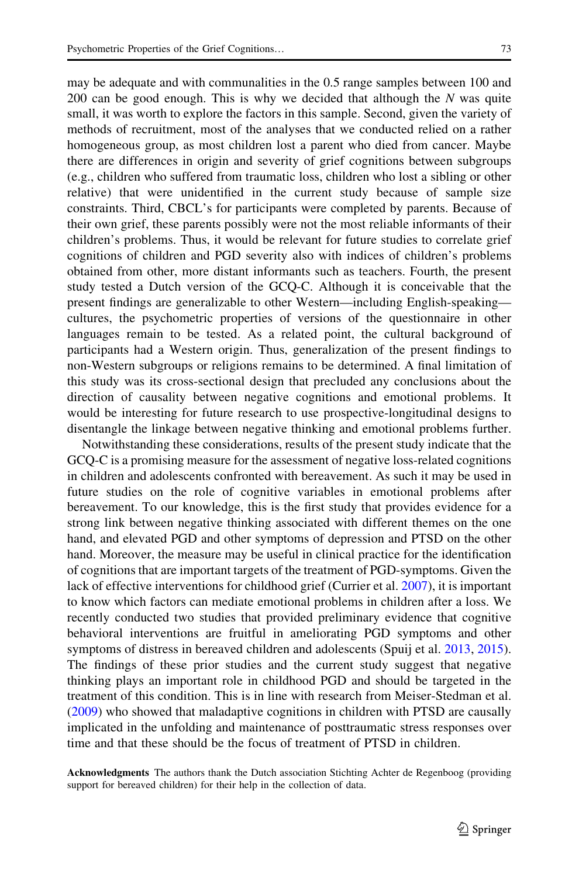may be adequate and with communalities in the 0.5 range samples between 100 and 200 can be good enough. This is why we decided that although the  $N$  was quite small, it was worth to explore the factors in this sample. Second, given the variety of methods of recruitment, most of the analyses that we conducted relied on a rather homogeneous group, as most children lost a parent who died from cancer. Maybe there are differences in origin and severity of grief cognitions between subgroups (e.g., children who suffered from traumatic loss, children who lost a sibling or other relative) that were unidentified in the current study because of sample size constraints. Third, CBCL's for participants were completed by parents. Because of their own grief, these parents possibly were not the most reliable informants of their children's problems. Thus, it would be relevant for future studies to correlate grief cognitions of children and PGD severity also with indices of children's problems obtained from other, more distant informants such as teachers. Fourth, the present study tested a Dutch version of the GCQ-C. Although it is conceivable that the present findings are generalizable to other Western—including English-speaking cultures, the psychometric properties of versions of the questionnaire in other languages remain to be tested. As a related point, the cultural background of participants had a Western origin. Thus, generalization of the present findings to non-Western subgroups or religions remains to be determined. A final limitation of this study was its cross-sectional design that precluded any conclusions about the direction of causality between negative cognitions and emotional problems. It would be interesting for future research to use prospective-longitudinal designs to disentangle the linkage between negative thinking and emotional problems further.

Notwithstanding these considerations, results of the present study indicate that the GCQ-C is a promising measure for the assessment of negative loss-related cognitions in children and adolescents confronted with bereavement. As such it may be used in future studies on the role of cognitive variables in emotional problems after bereavement. To our knowledge, this is the first study that provides evidence for a strong link between negative thinking associated with different themes on the one hand, and elevated PGD and other symptoms of depression and PTSD on the other hand. Moreover, the measure may be useful in clinical practice for the identification of cognitions that are important targets of the treatment of PGD-symptoms. Given the lack of effective interventions for childhood grief (Currier et al. [2007\)](#page-15-0), it is important to know which factors can mediate emotional problems in children after a loss. We recently conducted two studies that provided preliminary evidence that cognitive behavioral interventions are fruitful in ameliorating PGD symptoms and other symptoms of distress in bereaved children and adolescents (Spuij et al. [2013,](#page-16-0) [2015\)](#page-16-0). The findings of these prior studies and the current study suggest that negative thinking plays an important role in childhood PGD and should be targeted in the treatment of this condition. This is in line with research from Meiser-Stedman et al. [\(2009](#page-16-0)) who showed that maladaptive cognitions in children with PTSD are causally implicated in the unfolding and maintenance of posttraumatic stress responses over time and that these should be the focus of treatment of PTSD in children.

Acknowledgments The authors thank the Dutch association Stichting Achter de Regenboog (providing support for bereaved children) for their help in the collection of data.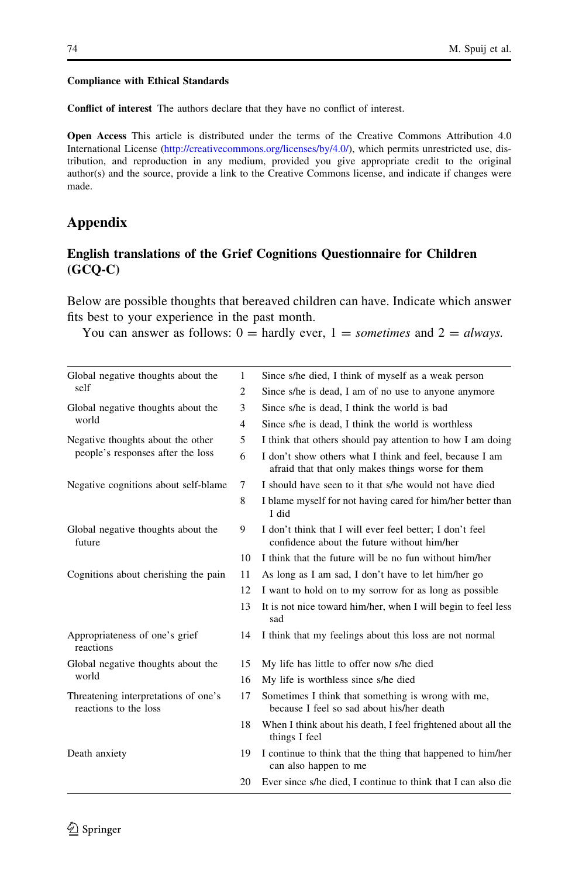#### Compliance with Ethical Standards

Conflict of interest The authors declare that they have no conflict of interest.

Open Access This article is distributed under the terms of the Creative Commons Attribution 4.0 International License ([http://creativecommons.org/licenses/by/4.0/\)](http://creativecommons.org/licenses/by/4.0/), which permits unrestricted use, distribution, and reproduction in any medium, provided you give appropriate credit to the original author(s) and the source, provide a link to the Creative Commons license, and indicate if changes were made.

## Appendix

## English translations of the Grief Cognitions Questionnaire for Children (GCQ-C)

Below are possible thoughts that bereaved children can have. Indicate which answer fits best to your experience in the past month.

You can answer as follows:  $0 =$  hardly ever,  $1 =$  sometimes and  $2 =$  always.

| Global negative thoughts about the<br>self                             | 1              | Since s/he died, I think of myself as a weak person                                                          |
|------------------------------------------------------------------------|----------------|--------------------------------------------------------------------------------------------------------------|
|                                                                        | 2              | Since s/he is dead, I am of no use to anyone anymore                                                         |
| Global negative thoughts about the<br>world                            | 3              | Since s/he is dead. I think the world is bad                                                                 |
|                                                                        | $\overline{4}$ | Since s/he is dead. I think the world is worthless                                                           |
| Negative thoughts about the other<br>people's responses after the loss | 5              | I think that others should pay attention to how I am doing                                                   |
|                                                                        | 6              | I don't show others what I think and feel, because I am<br>afraid that that only makes things worse for them |
| Negative cognitions about self-blame                                   | 7              | I should have seen to it that s/he would not have died                                                       |
|                                                                        |                | I blame myself for not having cared for him/her better than<br>I did                                         |
| Global negative thoughts about the<br>future                           | 9              | I don't think that I will ever feel better; I don't feel<br>confidence about the future without him/her      |
|                                                                        | 10             | I think that the future will be no fun without him/her                                                       |
| Cognitions about cherishing the pain                                   | 11             | As long as I am sad, I don't have to let him/her go                                                          |
|                                                                        | 12             | I want to hold on to my sorrow for as long as possible                                                       |
|                                                                        |                | It is not nice toward him/her, when I will begin to feel less<br>sad                                         |
| Appropriateness of one's grief<br>reactions                            | 14             | I think that my feelings about this loss are not normal                                                      |
| Global negative thoughts about the<br>world                            | 15             | My life has little to offer now s/he died                                                                    |
|                                                                        | 16             | My life is worthless since s/he died                                                                         |
| Threatening interpretations of one's<br>reactions to the loss          |                | Sometimes I think that something is wrong with me,<br>because I feel so sad about his/her death              |
|                                                                        |                | When I think about his death, I feel frightened about all the<br>things I feel                               |
| Death anxiety                                                          |                | I continue to think that the thing that happened to him/her<br>can also happen to me                         |
|                                                                        | 20             | Ever since s/he died, I continue to think that I can also die                                                |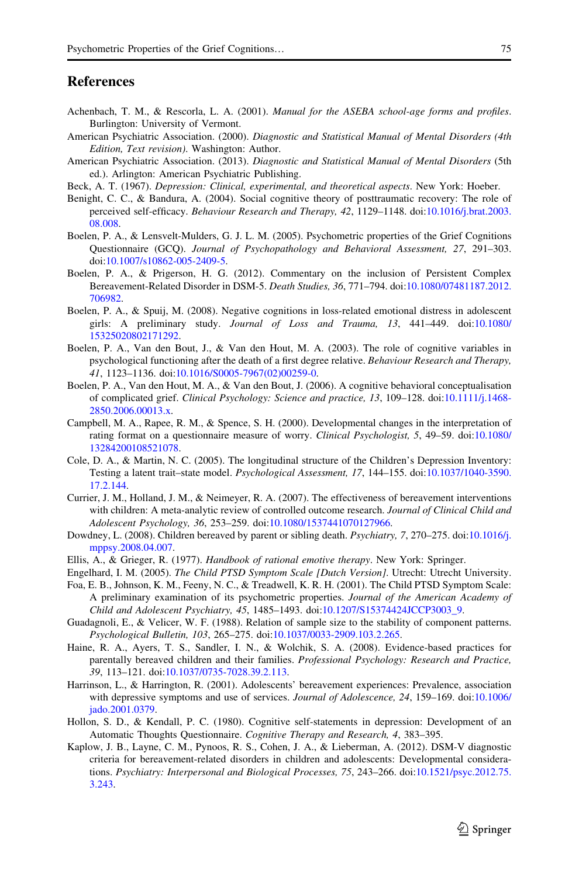## <span id="page-15-0"></span>**References**

- Achenbach, T. M., & Rescorla, L. A. (2001). Manual for the ASEBA school-age forms and profiles. Burlington: University of Vermont.
- American Psychiatric Association. (2000). Diagnostic and Statistical Manual of Mental Disorders (4th Edition, Text revision). Washington: Author.
- American Psychiatric Association. (2013). Diagnostic and Statistical Manual of Mental Disorders (5th ed.). Arlington: American Psychiatric Publishing.
- Beck, A. T. (1967). Depression: Clinical, experimental, and theoretical aspects. New York: Hoeber.
- Benight, C. C., & Bandura, A. (2004). Social cognitive theory of posttraumatic recovery: The role of perceived self-efficacy. Behaviour Research and Therapy, 42, 1129–1148. doi:[10.1016/j.brat.2003.](http://dx.doi.org/10.1016/j.brat.2003.08.008) [08.008.](http://dx.doi.org/10.1016/j.brat.2003.08.008)
- Boelen, P. A., & Lensvelt-Mulders, G. J. L. M. (2005). Psychometric properties of the Grief Cognitions Questionnaire (GCQ). Journal of Psychopathology and Behavioral Assessment, 27, 291–303. doi[:10.1007/s10862-005-2409-5](http://dx.doi.org/10.1007/s10862-005-2409-5).
- Boelen, P. A., & Prigerson, H. G. (2012). Commentary on the inclusion of Persistent Complex Bereavement-Related Disorder in DSM-5. Death Studies, 36, 771–794. doi:[10.1080/07481187.2012.](http://dx.doi.org/10.1080/07481187.2012.706982) [706982.](http://dx.doi.org/10.1080/07481187.2012.706982)
- Boelen, P. A., & Spuij, M. (2008). Negative cognitions in loss-related emotional distress in adolescent girls: A preliminary study. Journal of Loss and Trauma, 13, 441–449. doi[:10.1080/](http://dx.doi.org/10.1080/15325020802171292) [15325020802171292.](http://dx.doi.org/10.1080/15325020802171292)
- Boelen, P. A., Van den Bout, J., & Van den Hout, M. A. (2003). The role of cognitive variables in psychological functioning after the death of a first degree relative. Behaviour Research and Therapy, 41, 1123–1136. doi[:10.1016/S0005-7967\(02\)00259-0](http://dx.doi.org/10.1016/S0005-7967(02)00259-0).
- Boelen, P. A., Van den Hout, M. A., & Van den Bout, J. (2006). A cognitive behavioral conceptualisation of complicated grief. Clinical Psychology: Science and practice, 13, 109–128. doi[:10.1111/j.1468-](http://dx.doi.org/10.1111/j.1468-2850.2006.00013.x) [2850.2006.00013.x.](http://dx.doi.org/10.1111/j.1468-2850.2006.00013.x)
- Campbell, M. A., Rapee, R. M., & Spence, S. H. (2000). Developmental changes in the interpretation of rating format on a questionnaire measure of worry. Clinical Psychologist, 5, 49–59. doi[:10.1080/](http://dx.doi.org/10.1080/13284200108521078) [13284200108521078.](http://dx.doi.org/10.1080/13284200108521078)
- Cole, D. A., & Martin, N. C. (2005). The longitudinal structure of the Children's Depression Inventory: Testing a latent trait–state model. Psychological Assessment, 17, 144–155. doi:[10.1037/1040-3590.](http://dx.doi.org/10.1037/1040-3590.17.2.144) [17.2.144.](http://dx.doi.org/10.1037/1040-3590.17.2.144)
- Currier, J. M., Holland, J. M., & Neimeyer, R. A. (2007). The effectiveness of bereavement interventions with children: A meta-analytic review of controlled outcome research. Journal of Clinical Child and Adolescent Psychology, 36, 253–259. doi:[10.1080/1537441070127966](http://dx.doi.org/10.1080/1537441070127966).
- Dowdney, L. (2008). Children bereaved by parent or sibling death. Psychiatry, 7, 270–275. doi[:10.1016/j.](http://dx.doi.org/10.1016/j.mppsy.2008.04.007) [mppsy.2008.04.007.](http://dx.doi.org/10.1016/j.mppsy.2008.04.007)
- Ellis, A., & Grieger, R. (1977). Handbook of rational emotive therapy. New York: Springer.
- Engelhard, I. M. (2005). The Child PTSD Symptom Scale [Dutch Version]. Utrecht: Utrecht University.
- Foa, E. B., Johnson, K. M., Feeny, N. C., & Treadwell, K. R. H. (2001). The Child PTSD Symptom Scale: A preliminary examination of its psychometric properties. Journal of the American Academy of Child and Adolescent Psychiatry, 45, 1485–1493. doi:[10.1207/S15374424JCCP3003\\_9.](http://dx.doi.org/10.1207/S15374424JCCP3003_9)
- Guadagnoli, E., & Velicer, W. F. (1988). Relation of sample size to the stability of component patterns. Psychological Bulletin, 103, 265–275. doi[:10.1037/0033-2909.103.2.265.](http://dx.doi.org/10.1037/0033-2909.103.2.265)
- Haine, R. A., Ayers, T. S., Sandler, I. N., & Wolchik, S. A. (2008). Evidence-based practices for parentally bereaved children and their families. Professional Psychology: Research and Practice, 39, 113–121. doi:[10.1037/0735-7028.39.2.113.](http://dx.doi.org/10.1037/0735-7028.39.2.113)
- Harrinson, L., & Harrington, R. (2001). Adolescents' bereavement experiences: Prevalence, association with depressive symptoms and use of services. Journal of Adolescence, 24, 159–169. doi[:10.1006/](http://dx.doi.org/10.1006/jado.2001.0379) [jado.2001.0379.](http://dx.doi.org/10.1006/jado.2001.0379)
- Hollon, S. D., & Kendall, P. C. (1980). Cognitive self-statements in depression: Development of an Automatic Thoughts Questionnaire. Cognitive Therapy and Research, 4, 383–395.
- Kaplow, J. B., Layne, C. M., Pynoos, R. S., Cohen, J. A., & Lieberman, A. (2012). DSM-V diagnostic criteria for bereavement-related disorders in children and adolescents: Developmental considerations. Psychiatry: Interpersonal and Biological Processes, 75, 243–266. doi:[10.1521/psyc.2012.75.](http://dx.doi.org/10.1521/psyc.2012.75.3.243) [3.243.](http://dx.doi.org/10.1521/psyc.2012.75.3.243)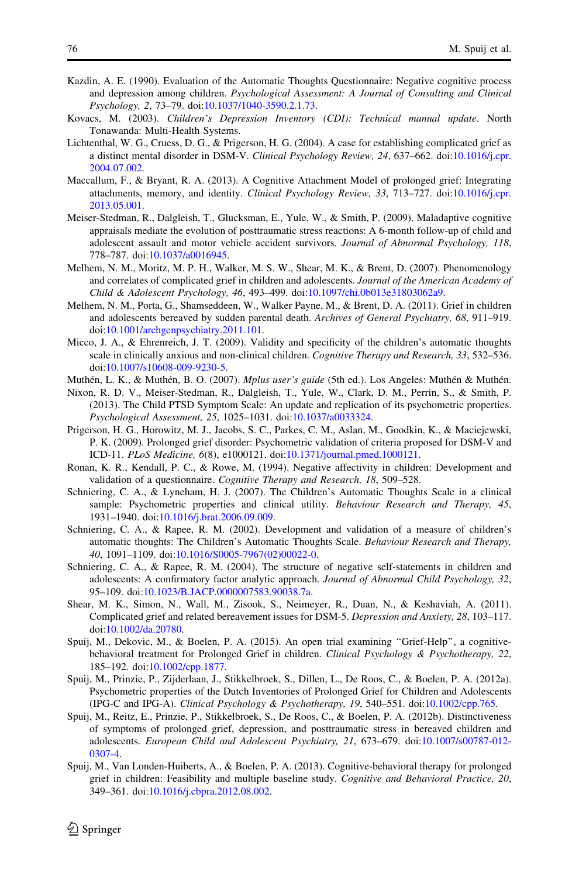- <span id="page-16-0"></span>Kazdin, A. E. (1990). Evaluation of the Automatic Thoughts Questionnaire: Negative cognitive process and depression among children. Psychological Assessment: A Journal of Consulting and Clinical Psychology, 2, 73–79. doi[:10.1037/1040-3590.2.1.73](http://dx.doi.org/10.1037/1040-3590.2.1.73).
- Kovacs, M. (2003). Children's Depression Inventory (CDI): Technical manual update. North Tonawanda: Multi-Health Systems.
- Lichtenthal, W. G., Cruess, D. G., & Prigerson, H. G. (2004). A case for establishing complicated grief as a distinct mental disorder in DSM-V. Clinical Psychology Review, 24, 637–662. doi:[10.1016/j.cpr.](http://dx.doi.org/10.1016/j.cpr.2004.07.002) [2004.07.002.](http://dx.doi.org/10.1016/j.cpr.2004.07.002)
- Maccallum, F., & Bryant, R. A. (2013). A Cognitive Attachment Model of prolonged grief: Integrating attachments, memory, and identity. Clinical Psychology Review, 33, 713–727. doi:[10.1016/j.cpr.](http://dx.doi.org/10.1016/j.cpr.2013.05.001) [2013.05.001.](http://dx.doi.org/10.1016/j.cpr.2013.05.001)
- Meiser-Stedman, R., Dalgleish, T., Glucksman, E., Yule, W., & Smith, P. (2009). Maladaptive cognitive appraisals mediate the evolution of posttraumatic stress reactions: A 6-month follow-up of child and adolescent assault and motor vehicle accident survivors. Journal of Abnormal Psychology, 118, 778–787. doi:[10.1037/a0016945](http://dx.doi.org/10.1037/a0016945).
- Melhem, N. M., Moritz, M. P. H., Walker, M. S. W., Shear, M. K., & Brent, D. (2007). Phenomenology and correlates of complicated grief in children and adolescents. Journal of the American Academy of Child & Adolescent Psychology, 46, 493–499. doi:[10.1097/chi.0b013e31803062a9](http://dx.doi.org/10.1097/chi.0b013e31803062a9).
- Melhem, N. M., Porta, G., Shamseddeen, W., Walker Payne, M., & Brent, D. A. (2011). Grief in children and adolescents bereaved by sudden parental death. Archives of General Psychiatry, 68, 911–919. doi[:10.1001/archgenpsychiatry.2011.101.](http://dx.doi.org/10.1001/archgenpsychiatry.2011.101)
- Micco, J. A., & Ehrenreich, J. T. (2009). Validity and specificity of the children's automatic thoughts scale in clinically anxious and non-clinical children. Cognitive Therapy and Research, 33, 532–536. doi[:10.1007/s10608-009-9230-5](http://dx.doi.org/10.1007/s10608-009-9230-5).
- Muthén, L. K., & Muthén, B. O. (2007). Mplus user's guide (5th ed.). Los Angeles: Muthén & Muthén.
- Nixon, R. D. V., Meiser-Stedman, R., Dalgleish, T., Yule, W., Clark, D. M., Perrin, S., & Smith, P. (2013). The Child PTSD Symptom Scale: An update and replication of its psychometric properties. Psychological Assessment, 25, 1025–1031. doi[:10.1037/a0033324.](http://dx.doi.org/10.1037/a0033324)
- Prigerson, H. G., Horowitz, M. J., Jacobs, S. C., Parkes, C. M., Aslan, M., Goodkin, K., & Maciejewski, P. K. (2009). Prolonged grief disorder: Psychometric validation of criteria proposed for DSM-V and ICD-11. PLoS Medicine, 6(8), e1000121. doi[:10.1371/journal.pmed.1000121.](http://dx.doi.org/10.1371/journal.pmed.1000121)
- Ronan, K. R., Kendall, P. C., & Rowe, M. (1994). Negative affectivity in children: Development and validation of a questionnaire. Cognitive Therapy and Research, 18, 509–528.
- Schniering, C. A., & Lyneham, H. J. (2007). The Children's Automatic Thoughts Scale in a clinical sample: Psychometric properties and clinical utility. Behaviour Research and Therapy, 45, 1931–1940. doi:[10.1016/j.brat.2006.09.009](http://dx.doi.org/10.1016/j.brat.2006.09.009).
- Schniering, C. A., & Rapee, R. M. (2002). Development and validation of a measure of children's automatic thoughts: The Children's Automatic Thoughts Scale. Behaviour Research and Therapy, 40, 1091–1109. doi[:10.1016/S0005-7967\(02\)00022-0](http://dx.doi.org/10.1016/S0005-7967(02)00022-0).
- Schniering, C. A., & Rapee, R. M. (2004). The structure of negative self-statements in children and adolescents: A confirmatory factor analytic approach. Journal of Abnormal Child Psychology, 32, 95–109. doi:[10.1023/B.JACP.0000007583.90038.7a.](http://dx.doi.org/10.1023/B.JACP.0000007583.90038.7a)
- Shear, M. K., Simon, N., Wall, M., Zisook, S., Neimeyer, R., Duan, N., & Keshaviah, A. (2011). Complicated grief and related bereavement issues for DSM-5. Depression and Anxiety, 28, 103–117. doi[:10.1002/da.20780.](http://dx.doi.org/10.1002/da.20780)
- Spuij, M., Dekovic, M., & Boelen, P. A. (2015). An open trial examining "Grief-Help", a cognitivebehavioral treatment for Prolonged Grief in children. Clinical Psychology & Psychotherapy, 22, 185–192. doi:[10.1002/cpp.1877](http://dx.doi.org/10.1002/cpp.1877).
- Spuij, M., Prinzie, P., Zijderlaan, J., Stikkelbroek, S., Dillen, L., De Roos, C., & Boelen, P. A. (2012a). Psychometric properties of the Dutch Inventories of Prolonged Grief for Children and Adolescents (IPG-C and IPG-A). Clinical Psychology & Psychotherapy, 19, 540–551. doi:[10.1002/cpp.765](http://dx.doi.org/10.1002/cpp.765).
- Spuij, M., Reitz, E., Prinzie, P., Stikkelbroek, S., De Roos, C., & Boelen, P. A. (2012b). Distinctiveness of symptoms of prolonged grief, depression, and posttraumatic stress in bereaved children and adolescents. European Child and Adolescent Psychiatry, 21, 673–679. doi[:10.1007/s00787-012-](http://dx.doi.org/10.1007/s00787-012-0307-4) [0307-4.](http://dx.doi.org/10.1007/s00787-012-0307-4)
- Spuij, M., Van Londen-Huiberts, A., & Boelen, P. A. (2013). Cognitive-behavioral therapy for prolonged grief in children: Feasibility and multiple baseline study. Cognitive and Behavioral Practice, 20, 349–361. doi:[10.1016/j.cbpra.2012.08.002.](http://dx.doi.org/10.1016/j.cbpra.2012.08.002)